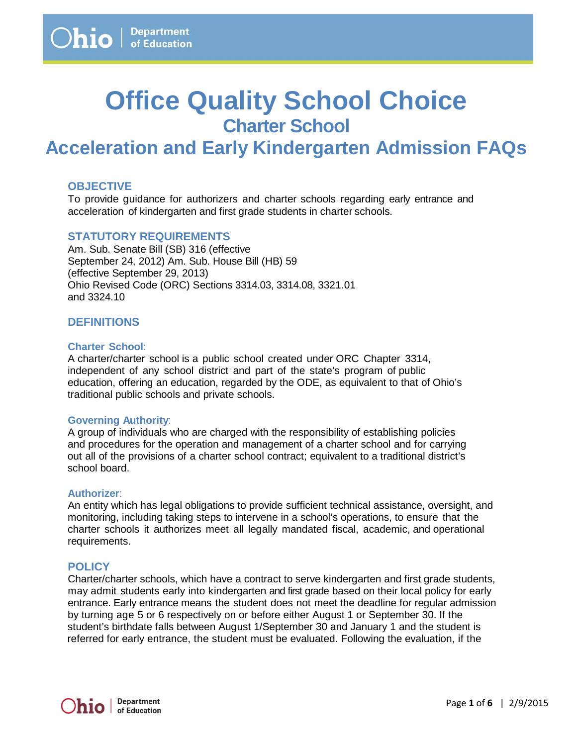# **Office Quality School Choice Charter School**

# **Acceleration and Early Kindergarten Admission FAQs**

# **OBJECTIVE**

To provide guidance for authorizers and charter schools regarding early entrance and acceleration of kindergarten and first grade students in charter schools.

## **STATUTORY REQUIREMENTS**

Am. Sub. Senate Bill (SB) 316 (effective September 24, 2012) Am. Sub. House Bill (HB) 59 (effective September 29, 2013) Ohio Revised Code (ORC) Sections 3314.03, 3314.08, 3321.01 and 3324.10

# **DEFINITIONS**

#### **Charter School**:

A charter/charter school is a public school created under ORC Chapter 3314, independent of any school district and part of the state's program of public education, offering an education, regarded by the ODE, as equivalent to that of Ohio's traditional public schools and private schools.

#### **Governing Authority**:

A group of individuals who are charged with the responsibility of establishing policies and procedures for the operation and management of a charter school and for carrying out all of the provisions of a charter school contract; equivalent to a traditional district's school board.

#### **Authorizer**:

An entity which has legal obligations to provide sufficient technical assistance, oversight, and monitoring, including taking steps to intervene in a school's operations, to ensure that the charter schools it authorizes meet all legally mandated fiscal, academic, and operational requirements.

## **POLICY**

Charter/charter schools, which have a contract to serve kindergarten and first grade students, may admit students early into kindergarten and first grade based on their local policy for early entrance. Early entrance means the student does not meet the deadline for regular admission by turning age 5 or 6 respectively on or before either August 1 or September 30. If the student's birthdate falls between August 1/September 30 and January 1 and the student is referred for early entrance, the student must be evaluated. Following the evaluation, if the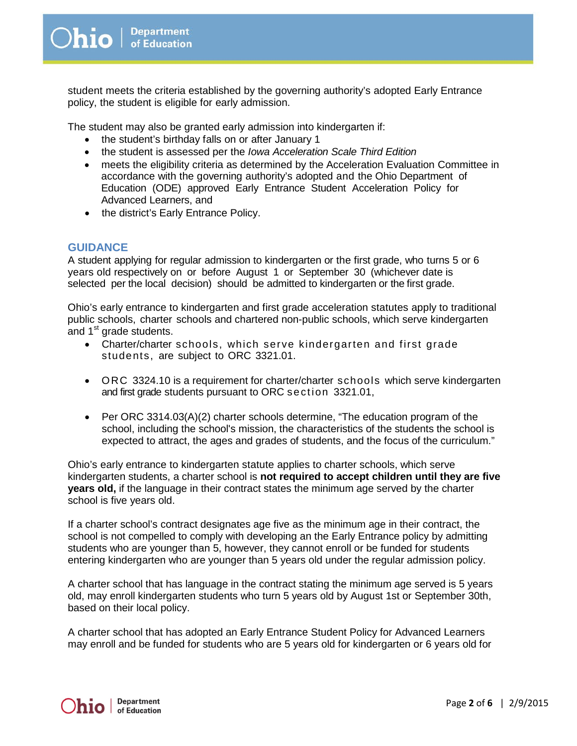student meets the criteria established by the governing authority's adopted Early Entrance policy, the student is eligible for early admission.

The student may also be granted early admission into kindergarten if:

- the student's birthday falls on or after January 1
- the student is assessed per the *Iowa Acceleration Scale Third Edition*
- meets the eligibility criteria as determined by the Acceleration Evaluation Committee in accordance with the governing authority's adopted and the Ohio Department of Education (ODE) approved Early Entrance Student Acceleration Policy for Advanced Learners, and
- the district's Early Entrance Policy.

# **GUIDANCE**

A student applying for regular admission to kindergarten or the first grade, who turns 5 or 6 years old respectively on or before August 1 or September 30 (whichever date is selected per the local decision) should be admitted to kindergarten or the first grade.

Ohio's early entrance to kindergarten and first grade acceleration statutes apply to traditional public schools, charter schools and chartered non-public schools, which serve kindergarten and 1<sup>st</sup> grade students.

- Charter/charter schools, which serve kindergarten and first grade students, are subject to ORC 3321.01.
- ORC 3324.10 is a requirement for charter/charter schools which serve kindergarten and first grade students pursuant to ORC section 3321.01,
- Per ORC 3314.03(A)(2) charter schools determine, "The education program of the school, including the school's mission, the characteristics of the students the school is expected to attract, the ages and grades of students, and the focus of the curriculum."

Ohio's early entrance to kindergarten statute applies to charter schools, which serve kindergarten students, a charter school is **not required to accept children until they are five years old,** if the language in their contract states the minimum age served by the charter school is five years old.

If a charter school's contract designates age five as the minimum age in their contract, the school is not compelled to comply with developing an the Early Entrance policy by admitting students who are younger than 5, however, they cannot enroll or be funded for students entering kindergarten who are younger than 5 years old under the regular admission policy.

A charter school that has language in the contract stating the minimum age served is 5 years old, may enroll kindergarten students who turn 5 years old by August 1st or September 30th, based on their local policy.

A charter school that has adopted an Early Entrance Student Policy for Advanced Learners may enroll and be funded for students who are 5 years old for kindergarten or 6 years old for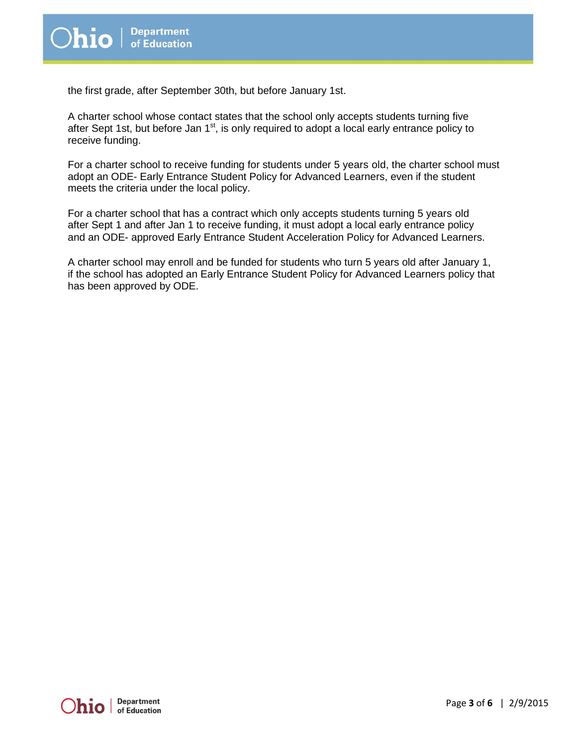the first grade, after September 30th, but before January 1st.

A charter school whose contact states that the school only accepts students turning five after Sept 1st, but before Jan  $1<sup>st</sup>$ , is only required to adopt a local early entrance policy to receive funding.

For a charter school to receive funding for students under 5 years old, the charter school must adopt an ODE- Early Entrance Student Policy for Advanced Learners, even if the student meets the criteria under the local policy.

For a charter school that has a contract which only accepts students turning 5 years old after Sept 1 and after Jan 1 to receive funding, it must adopt a local early entrance policy and an ODE- approved Early Entrance Student Acceleration Policy for Advanced Learners.

A charter school may enroll and be funded for students who turn 5 years old after January 1, if the school has adopted an Early Entrance Student Policy for Advanced Learners policy that has been approved by ODE.

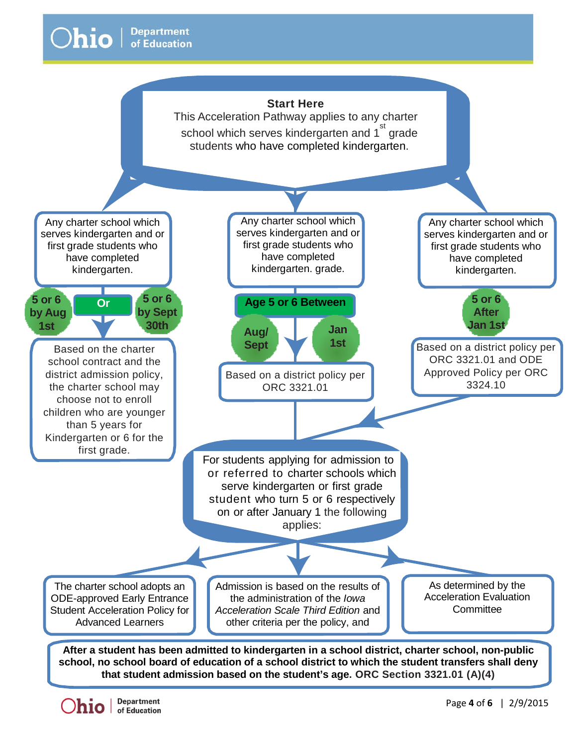

**school, no school board of education of a school district to which the student transfers shall deny that student admission based on the student's age. ORC Section 3321.01 (A)(4)**

**Department**  $\sum_{\text{in}}$   $\sum_{\text{of Education}}$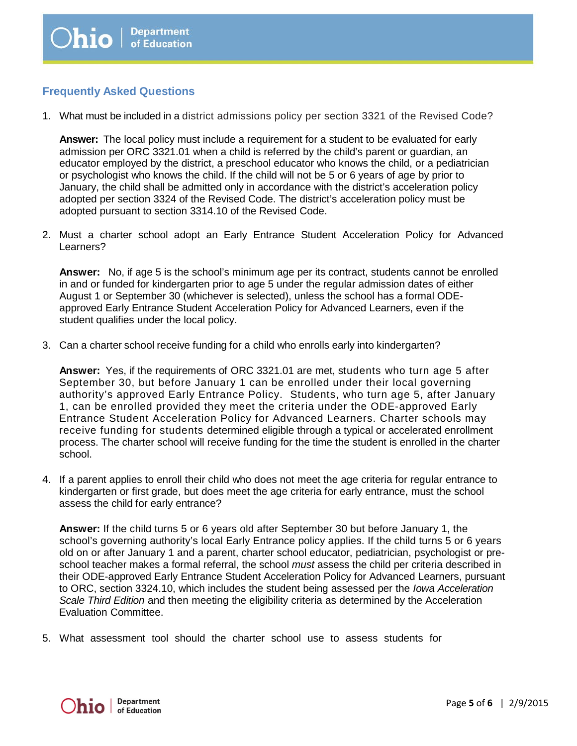# **Frequently Asked Questions**

1. What must be included in a district admissions policy per section 3321 of the Revised Code?

**Answer:** The local policy must include a requirement for a student to be evaluated for early admission per ORC 3321.01 when a child is referred by the child's parent or guardian, an educator employed by the district, a preschool educator who knows the child, or a pediatrician or psychologist who knows the child. If the child will not be 5 or 6 years of age by prior to January, the child shall be admitted only in accordance with the district's acceleration policy adopted per section 3324 of the Revised Code. The district's acceleration policy must be adopted pursuant to section 3314.10 of the Revised Code.

2. Must a charter school adopt an Early Entrance Student Acceleration Policy for Advanced Learners?

**Answer:** No, if age 5 is the school's minimum age per its contract, students cannot be enrolled in and or funded for kindergarten prior to age 5 under the regular admission dates of either August 1 or September 30 (whichever is selected), unless the school has a formal ODEapproved Early Entrance Student Acceleration Policy for Advanced Learners, even if the student qualifies under the local policy.

3. Can a charter school receive funding for a child who enrolls early into kindergarten?

**Answer:** Yes, if the requirements of ORC 3321.01 are met, students who turn age 5 after September 30, but before January 1 can be enrolled under their local governing authority's approved Early Entrance Policy. Students, who turn age 5, after January 1, can be enrolled provided they meet the criteria under the ODE-approved Early Entrance Student Acceleration Policy for Advanced Learners. Charter schools may receive funding for students determined eligible through a typical or accelerated enrollment process. The charter school will receive funding for the time the student is enrolled in the charter school.

4. If a parent applies to enroll their child who does not meet the age criteria for regular entrance to kindergarten or first grade, but does meet the age criteria for early entrance, must the school assess the child for early entrance?

**Answer:** If the child turns 5 or 6 years old after September 30 but before January 1, the school's governing authority's local Early Entrance policy applies. If the child turns 5 or 6 years old on or after January 1 and a parent, charter school educator, pediatrician, psychologist or preschool teacher makes a formal referral, the school *must* assess the child per criteria described in their ODE-approved Early Entrance Student Acceleration Policy for Advanced Learners, pursuant to ORC, section 3324.10, which includes the student being assessed per the *Iowa Acceleration Scale Third Edition* and then meeting the eligibility criteria as determined by the Acceleration Evaluation Committee.

5. What assessment tool should the charter school use to assess students for